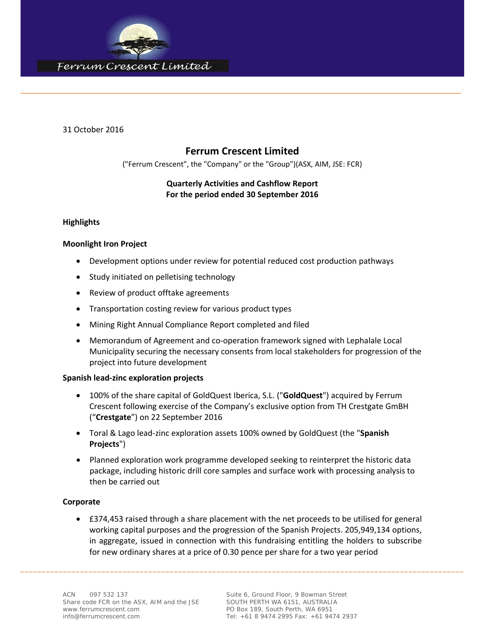

31 October 2016

## **Ferrum Crescent Limited**

\_\_\_\_\_\_\_\_\_\_\_\_\_\_\_\_\_\_\_\_\_\_\_\_\_\_\_\_\_\_\_\_\_\_\_\_\_\_\_\_\_\_\_\_\_\_\_\_\_\_\_\_\_\_\_\_\_\_\_\_\_\_\_\_\_\_\_\_\_\_\_\_\_\_\_\_\_\_\_\_\_\_\_\_\_\_\_\_\_\_\_\_\_\_\_\_\_\_\_\_\_\_\_\_\_\_\_\_

("Ferrum Crescent", the "Company" or the "Group")(ASX, AIM, JSE: FCR)

## **Quarterly Activities and Cashflow Report For the period ended 30 September 2016**

## **Highlights**

## **Moonlight Iron Project**

- Development options under review for potential reduced cost production pathways
- Study initiated on pelletising technology
- Review of product offtake agreements
- Transportation costing review for various product types
- Mining Right Annual Compliance Report completed and filed
- Memorandum of Agreement and co‐operation framework signed with Lephalale Local Municipality securing the necessary consents from local stakeholders for progression of the project into future development

## **Spanish lead‐zinc exploration projects**

- 100% of the share capital of GoldQuest Iberica, S.L. ("**GoldQuest**") acquired by Ferrum Crescent following exercise of the Company's exclusive option from TH Crestgate GmBH ("**Crestgate**") on 22 September 2016
- Toral & Lago lead‐zinc exploration assets 100% owned by GoldQuest (the "**Spanish Projects**")
- Planned exploration work programme developed seeking to reinterpret the historic data package, including historic drill core samples and surface work with processing analysis to then be carried out

## **Corporate**

 £374,453 raised through a share placement with the net proceeds to be utilised for general working capital purposes and the progression of the Spanish Projects. 205,949,134 options, in aggregate, issued in connection with this fundraising entitling the holders to subscribe for new ordinary shares at a price of 0.30 pence per share for a two year period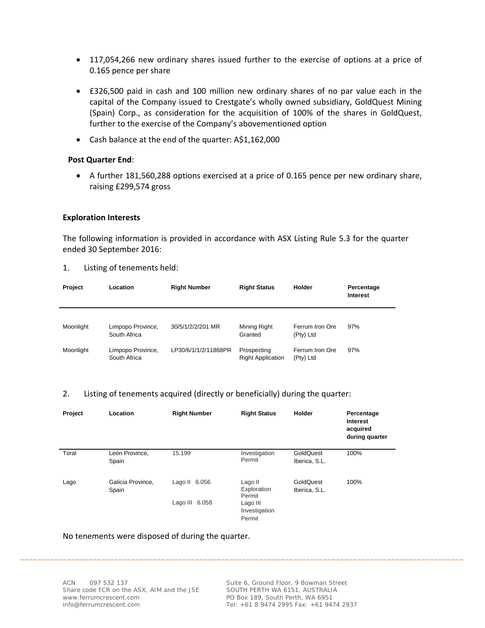- 117,054,266 new ordinary shares issued further to the exercise of options at a price of 0.165 pence per share
- £326,500 paid in cash and 100 million new ordinary shares of no par value each in the capital of the Company issued to Crestgate's wholly owned subsidiary, GoldQuest Mining (Spain) Corp., as consideration for the acquisition of 100% of the shares in GoldQuest, further to the exercise of the Company's abovementioned option
- Cash balance at the end of the quarter: A\$1,162,000

## **Post Quarter End**:

 A further 181,560,288 options exercised at a price of 0.165 pence per new ordinary share, raising £299,574 gross

#### **Exploration Interests**

The following information is provided in accordance with ASX Listing Rule 5.3 for the quarter ended 30 September 2016:

| Project   | Location                          | <b>Right Number</b>  | <b>Right Status</b>                     | Holder                       | Percentage<br>Interest |
|-----------|-----------------------------------|----------------------|-----------------------------------------|------------------------------|------------------------|
| Moonlight | Limpopo Province,<br>South Africa | 30/5/1/2/2/201 MR    | Mining Right<br>Granted                 | Ferrum Iron Ore<br>(Pty) Ltd | 97%                    |
| Moonlight | Limpopo Province,<br>South Africa | LP30/6/1/1/2/11868PR | Prospecting<br><b>Right Application</b> | Ferrum Iron Ore<br>(Pty) Ltd | 97%                    |

1. Listing of tenements held:

#### 2. Listing of tenements acquired (directly or beneficially) during the quarter:

| Project | Location                   | <b>Right Number</b> | <b>Right Status</b>                 | Holder                     | Percentage<br>Interest<br>acquired<br>during quarter |
|---------|----------------------------|---------------------|-------------------------------------|----------------------------|------------------------------------------------------|
| Toral   | León Province,<br>Spain    | 15.199              | Investigation<br>Permit             | GoldQuest<br>Iberica, S.L. | 100%                                                 |
| Lago    | Galicia Province,<br>Spain | Lago II 6.056       | Lago II<br>Exploration<br>Permit    | GoldQuest<br>Iberica, S.L. | 100%                                                 |
|         |                            | Lago III 6.058      | Lago III<br>Investigation<br>Permit |                            |                                                      |

\_\_\_\_\_\_\_\_\_\_\_\_\_\_\_\_\_\_\_\_\_\_\_\_\_\_\_\_\_\_\_\_\_\_\_\_\_\_\_\_\_\_\_\_\_\_\_\_\_\_\_\_\_\_\_\_\_\_\_\_\_\_\_\_\_\_\_\_\_\_\_\_\_\_\_\_\_\_\_\_\_\_\_\_\_\_\_\_\_\_\_\_\_\_\_\_\_\_\_\_\_\_\_\_

No tenements were disposed of during the quarter.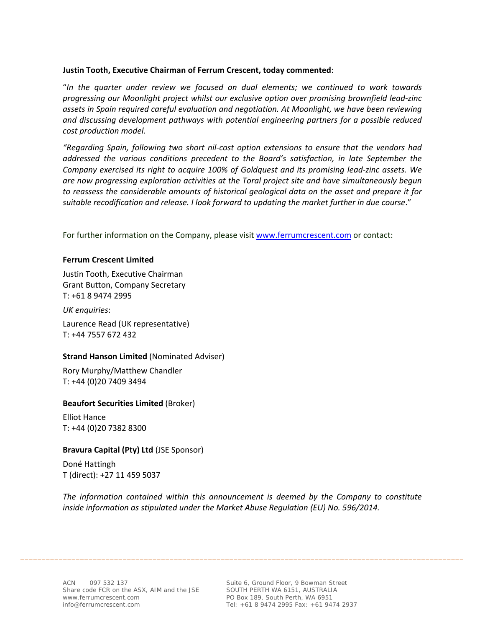## **Justin Tooth, Executive Chairman of Ferrum Crescent, today commented**:

"*In the quarter under review we focused on dual elements; we continued to work towards progressing our Moonlight project whilst our exclusive option over promising brownfield lead‐zinc assets in Spain required careful evaluation and negotiation. At Moonlight, we have been reviewing and discussing development pathways with potential engineering partners for a possible reduced cost production model.* 

*"Regarding Spain, following two short nil‐cost option extensions to ensure that the vendors had addressed the various conditions precedent to the Board's satisfaction, in late September the Company exercised its right to acquire 100% of Goldquest and its promising lead‐zinc assets. We are now progressing exploration activities at the Toral project site and have simultaneously begun to reassess the considerable amounts of historical geological data on the asset and prepare it for suitable recodification and release. I look forward to updating the market further in due course*."

For further information on the Company, please visit www.ferrumcrescent.com or contact:

## **Ferrum Crescent Limited**

Justin Tooth, Executive Chairman Grant Button, Company Secretary T: +61 8 9474 2995

*UK enquiries*:

Laurence Read (UK representative) T: +44 7557 672 432

## **Strand Hanson Limited** (Nominated Adviser)

Rory Murphy/Matthew Chandler T: +44 (0)20 7409 3494

## **Beaufort Securities Limited** (Broker)

Elliot Hance T: +44 (0)20 7382 8300

## **Bravura Capital (Pty) Ltd** (JSE Sponsor)

Doné Hattingh T (direct): +27 11 459 5037

*The information contained within this announcement is deemed by the Company to constitute inside information as stipulated under the Market Abuse Regulation (EU) No. 596/2014.*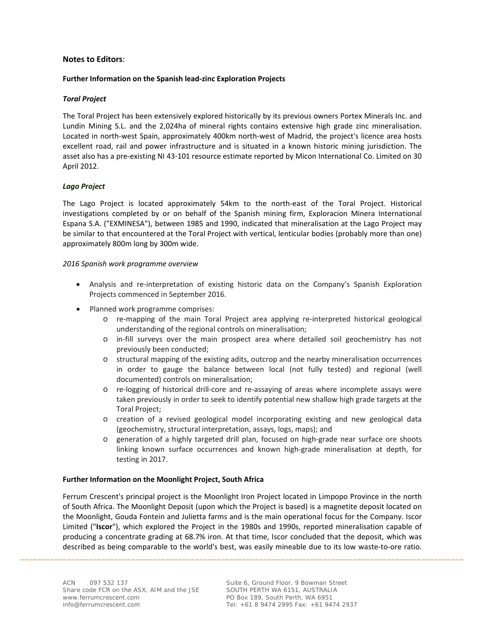#### **Notes to Editors**:

#### **Further Information on the Spanish lead‐zinc Exploration Projects**

#### *Toral Project*

The Toral Project has been extensively explored historically by its previous owners Portex Minerals Inc. and Lundin Mining S.L. and the 2,024ha of mineral rights contains extensive high grade zinc mineralisation. Located in north‐west Spain, approximately 400km north‐west of Madrid, the project's licence area hosts excellent road, rail and power infrastructure and is situated in a known historic mining jurisdiction. The asset also has a pre‐existing NI 43‐101 resource estimate reported by Micon International Co. Limited on 30 April 2012.

#### *Lago Project*

The Lago Project is located approximately 54km to the north‐east of the Toral Project. Historical investigations completed by or on behalf of the Spanish mining firm, Exploracion Minera International Espana S.A. ("EXMINESA"), between 1985 and 1990, indicated that mineralisation at the Lago Project may be similar to that encountered at the Toral Project with vertical, lenticular bodies (probably more than one) approximately 800m long by 300m wide.

#### *2016 Spanish work programme overview*

- Analysis and re-interpretation of existing historic data on the Company's Spanish Exploration Projects commenced in September 2016.
- Planned work programme comprises:
	- o re‐mapping of the main Toral Project area applying re‐interpreted historical geological understanding of the regional controls on mineralisation;
	- o in‐fill surveys over the main prospect area where detailed soil geochemistry has not previously been conducted;
	- o structural mapping of the existing adits, outcrop and the nearby mineralisation occurrences in order to gauge the balance between local (not fully tested) and regional (well documented) controls on mineralisation;
	- o re‐logging of historical drill‐core and re‐assaying of areas where incomplete assays were taken previously in order to seek to identify potential new shallow high grade targets at the Toral Project;
	- o creation of a revised geological model incorporating existing and new geological data (geochemistry, structural interpretation, assays, logs, maps); and
	- o generation of a highly targeted drill plan, focused on high‐grade near surface ore shoots linking known surface occurrences and known high‐grade mineralisation at depth, for testing in 2017.

#### **Further Information on the Moonlight Project, South Africa**

Ferrum Crescent's principal project is the Moonlight Iron Project located in Limpopo Province in the north of South Africa. The Moonlight Deposit (upon which the Project is based) is a magnetite deposit located on the Moonlight, Gouda Fontein and Julietta farms and is the main operational focus for the Company. Iscor Limited ("**Iscor**"), which explored the Project in the 1980s and 1990s, reported mineralisation capable of producing a concentrate grading at 68.7% iron. At that time, Iscor concluded that the deposit, which was described as being comparable to the world's best, was easily mineable due to its low waste-to-ore ratio.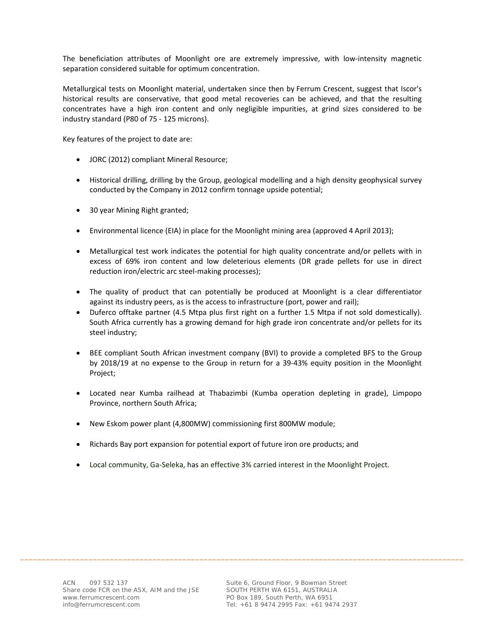The beneficiation attributes of Moonlight ore are extremely impressive, with low‐intensity magnetic separation considered suitable for optimum concentration.

Metallurgical tests on Moonlight material, undertaken since then by Ferrum Crescent, suggest that Iscor's historical results are conservative, that good metal recoveries can be achieved, and that the resulting concentrates have a high iron content and only negligible impurities, at grind sizes considered to be industry standard (P80 of 75 ‐ 125 microns).

Key features of the project to date are:

- JORC (2012) compliant Mineral Resource;
- Historical drilling, drilling by the Group, geological modelling and a high density geophysical survey conducted by the Company in 2012 confirm tonnage upside potential;
- 30 year Mining Right granted;
- Environmental licence (EIA) in place for the Moonlight mining area (approved 4 April 2013);
- Metallurgical test work indicates the potential for high quality concentrate and/or pellets with in excess of 69% iron content and low deleterious elements (DR grade pellets for use in direct reduction iron/electric arc steel‐making processes);
- The quality of product that can potentially be produced at Moonlight is a clear differentiator against its industry peers, as is the access to infrastructure (port, power and rail);
- Duferco offtake partner (4.5 Mtpa plus first right on a further 1.5 Mtpa if not sold domestically). South Africa currently has a growing demand for high grade iron concentrate and/or pellets for its steel industry;
- BEE compliant South African investment company (BVI) to provide a completed BFS to the Group by 2018/19 at no expense to the Group in return for a 39‐43% equity position in the Moonlight Project;
- Located near Kumba railhead at Thabazimbi (Kumba operation depleting in grade), Limpopo Province, northern South Africa;
- New Eskom power plant (4,800MW) commissioning first 800MW module;
- Richards Bay port expansion for potential export of future iron ore products; and
- Local community, Ga‐Seleka, has an effective 3% carried interest in the Moonlight Project.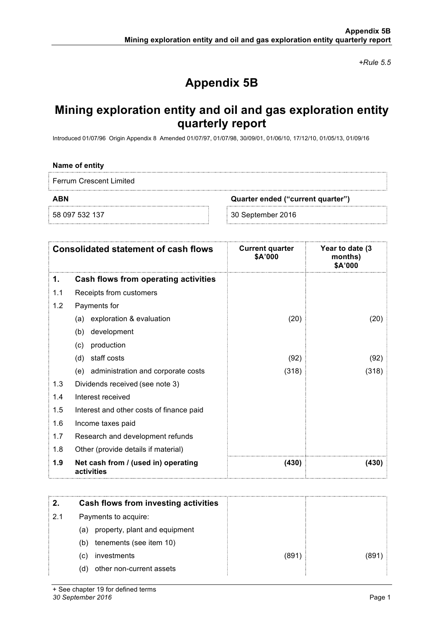*+Rule 5.5*

# **Appendix 5B**

## **Mining exploration entity and oil and gas exploration entity quarterly report**

Introduced 01/07/96 Origin Appendix 8 Amended 01/07/97, 01/07/98, 30/09/01, 01/06/10, 17/12/10, 01/05/13, 01/09/16

| Name of entity                 |                                   |
|--------------------------------|-----------------------------------|
| <b>Ferrum Crescent Limited</b> |                                   |
| <b>ABN</b>                     | Quarter ended ("current quarter") |
| 58 097 532 137                 | 30 September 2016                 |

|     | <b>Consolidated statement of cash flows</b>       | <b>Current quarter</b><br>\$A'000 | Year to date (3<br>months)<br>\$A'000 |
|-----|---------------------------------------------------|-----------------------------------|---------------------------------------|
| 1.  | Cash flows from operating activities              |                                   |                                       |
| 1.1 | Receipts from customers                           |                                   |                                       |
| 1.2 | Payments for                                      |                                   |                                       |
|     | (a) exploration & evaluation                      | (20)                              | (20)                                  |
|     | development<br>(b)                                |                                   |                                       |
|     | production<br>(c)                                 |                                   |                                       |
|     | staff costs<br>(d)                                | (92)                              | (92)                                  |
|     | (e) administration and corporate costs            | (318)                             | (318)                                 |
| 1.3 | Dividends received (see note 3)                   |                                   |                                       |
| 1.4 | Interest received                                 |                                   |                                       |
| 1.5 | Interest and other costs of finance paid          |                                   |                                       |
| 1.6 | Income taxes paid                                 |                                   |                                       |
| 1.7 | Research and development refunds                  |                                   |                                       |
| 1.8 | Other (provide details if material)               |                                   |                                       |
| 1.9 | Net cash from / (used in) operating<br>activities | (430)                             | (430)                                 |
|     |                                                   |                                   |                                       |
| 2.  | <b>Cash flows from investing activities</b>       |                                   |                                       |
| 2.1 | Payments to acquire:                              |                                   |                                       |
|     | property, plant and equipment<br>(a)              |                                   |                                       |
|     | tenements (see item 10)<br>(b)                    |                                   |                                       |
|     | investments<br>(c)                                | (891)                             | (891)                                 |
|     | (d)<br>other non-current assets                   |                                   |                                       |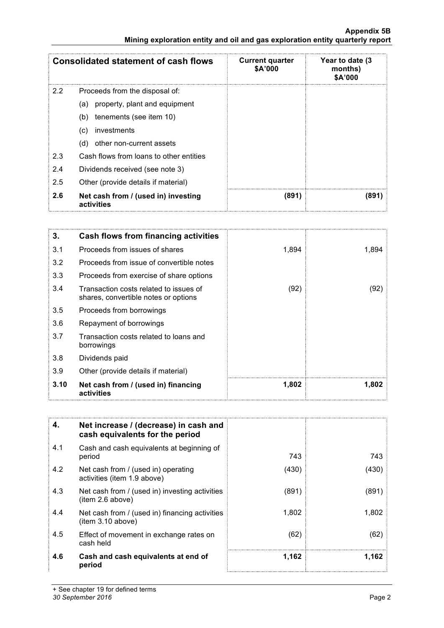**Mining exploration entity and oil and gas exploration entity quarterly report**

|     | Consolidated statement of cash flows              | <b>Current quarter</b><br>\$A'000 | Year to date (3<br>months)<br>\$A'000 |
|-----|---------------------------------------------------|-----------------------------------|---------------------------------------|
| 2.2 | Proceeds from the disposal of:                    |                                   |                                       |
|     | property, plant and equipment<br>(a)              |                                   |                                       |
|     | tenements (see item 10)<br>(b)                    |                                   |                                       |
|     | investments<br>$\left( c\right)$                  |                                   |                                       |
|     | other non-current assets<br>(d)                   |                                   |                                       |
| 2.3 | Cash flows from loans to other entities           |                                   |                                       |
| 2.4 | Dividends received (see note 3)                   |                                   |                                       |
| 2.5 | Other (provide details if material)               |                                   |                                       |
| 2.6 | Net cash from / (used in) investing<br>activities | (891)                             | (891)                                 |

| 3.   | Cash flows from financing activities                                           |       |       |
|------|--------------------------------------------------------------------------------|-------|-------|
| 3.1  | Proceeds from issues of shares                                                 | 1,894 | 1,894 |
| 3.2  | Proceeds from issue of convertible notes                                       |       |       |
| 3.3  | Proceeds from exercise of share options                                        |       |       |
| 3.4  | Transaction costs related to issues of<br>shares, convertible notes or options | (92)  | (92)  |
| 3.5  | Proceeds from borrowings                                                       |       |       |
| 3.6  | Repayment of borrowings                                                        |       |       |
| 3.7  | Transaction costs related to loans and<br>borrowings                           |       |       |
| 3.8  | Dividends paid                                                                 |       |       |
| 3.9  | Other (provide details if material)                                            |       |       |
| 3.10 | Net cash from / (used in) financing<br>activities                              | 1,802 | 1,802 |

| 4.  | Net increase / (decrease) in cash and<br>cash equivalents for the period |       |       |
|-----|--------------------------------------------------------------------------|-------|-------|
| 4.1 | Cash and cash equivalents at beginning of<br>period                      | 743   | 743   |
| 4.2 | Net cash from / (used in) operating<br>activities (item 1.9 above)       | (430) | (430) |
| 4.3 | Net cash from / (used in) investing activities<br>item 2.6 above)        | (891) | (891) |
| 4.4 | Net cash from / (used in) financing activities<br>item 3.10 above)       | 1,802 | 1,802 |
| 4.5 | Effect of movement in exchange rates on<br>cash held                     | (62)  | (62)  |
| 4.6 | Cash and cash equivalents at end of<br>period                            | 1.162 | 1.162 |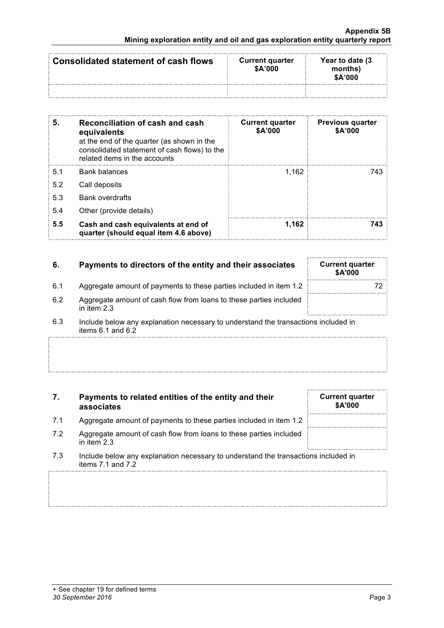| Consolidated statement of cash flows | <b>Current quarter</b><br>\$A'000 | Year to date (3)<br>months)<br>\$A'000 |
|--------------------------------------|-----------------------------------|----------------------------------------|
|                                      |                                   |                                        |

| 5.  | Reconciliation of cash and cash<br>equivalents<br>at the end of the quarter (as shown in the<br>consolidated statement of cash flows) to the<br>related items in the accounts | <b>Current quarter</b><br>\$A'000 | <b>Previous quarter</b><br>\$A'000 |
|-----|-------------------------------------------------------------------------------------------------------------------------------------------------------------------------------|-----------------------------------|------------------------------------|
| 5.1 | <b>Bank balances</b>                                                                                                                                                          | 1.162                             | 743                                |
| 5.2 | Call deposits                                                                                                                                                                 |                                   |                                    |
| 5.3 | <b>Bank overdrafts</b>                                                                                                                                                        |                                   |                                    |
| 5.4 | Other (provide details)                                                                                                                                                       |                                   |                                    |
| 5.5 | Cash and cash equivalents at end of<br>quarter (should equal item 4.6 above)                                                                                                  | 1.162                             | 743                                |

| 6.  | Payments to directors of the entity and their associates                                                    | <b>Current quarter</b><br><b>\$A'000</b> |
|-----|-------------------------------------------------------------------------------------------------------------|------------------------------------------|
| 6.1 | Aggregate amount of payments to these parties included in item 1.2                                          |                                          |
| 6.2 | Aggregate amount of cash flow from loans to these parties included<br>in item $2.3$                         |                                          |
| 6.3 | Include below any explanation necessary to understand the transactions included in<br>items $6.1$ and $6.2$ |                                          |

| 7.  | Payments to related entities of the entity and their<br>associates                                          | <b>Current quarter</b><br><b>\$A'000</b> |
|-----|-------------------------------------------------------------------------------------------------------------|------------------------------------------|
| 7.1 | Aggregate amount of payments to these parties included in item 1.2                                          |                                          |
| 7.2 | Aggregate amount of cash flow from loans to these parties included<br>in item $2.3$                         |                                          |
| 7.3 | Include below any explanation necessary to understand the transactions included in<br>items $7.1$ and $7.2$ |                                          |
|     |                                                                                                             |                                          |

- I., ...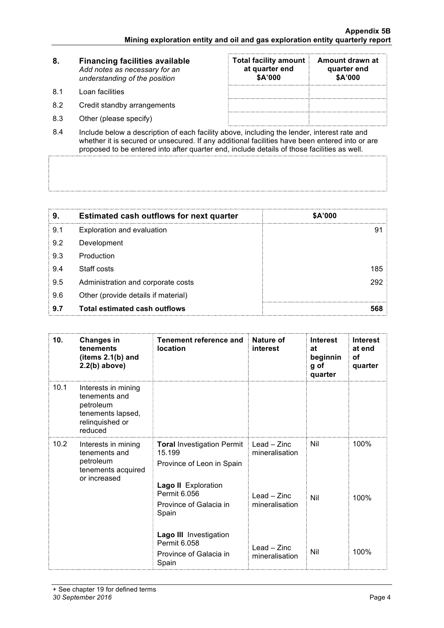| 8.  | <b>Financing facilities available</b><br>Add notes as necessary for an<br>understanding of the position | <b>Total facility amount</b><br>at quarter end<br>\$A'000 | Amount drawn at<br>quarter end<br>\$A'000 |
|-----|---------------------------------------------------------------------------------------------------------|-----------------------------------------------------------|-------------------------------------------|
| 81  | Loan facilities                                                                                         |                                                           |                                           |
| 8.2 | Credit standby arrangements                                                                             |                                                           |                                           |
| 8.3 | Other (please specify)                                                                                  |                                                           |                                           |
|     |                                                                                                         |                                                           |                                           |

8.4 Include below a description of each facility above, including the lender, interest rate and whether it is secured or unsecured. If any additional facilities have been entered into or are proposed to be entered into after quarter end, include details of those facilities as well.

| 9.  | <b>Estimated cash outflows for next quarter</b> | \$A'000 |  |
|-----|-------------------------------------------------|---------|--|
| 9.1 | Exploration and evaluation                      | ö.      |  |
| 9.2 | Development                                     |         |  |
| 9.3 | Production                                      |         |  |
| 9.4 | Staff costs                                     | 185     |  |
| 9.5 | Administration and corporate costs              | 292     |  |
| 9.6 | Other (provide details if material)             |         |  |
| 9.7 | <b>Total estimated cash outflows</b>            | 568     |  |

| 10.  | <b>Changes in</b><br>tenements<br>(items 2.1(b) and<br>$2.2(b)$ above)                               | Tenement reference and<br>location                                                                                                                 | Nature of<br>interest                                               | <b>Interest</b><br>at<br>beginnin<br>g of<br>quarter | <b>Interest</b><br>at end<br><b>of</b><br>quarter |
|------|------------------------------------------------------------------------------------------------------|----------------------------------------------------------------------------------------------------------------------------------------------------|---------------------------------------------------------------------|------------------------------------------------------|---------------------------------------------------|
| 10.1 | Interests in mining<br>tenements and<br>petroleum<br>tenements lapsed,<br>relinquished or<br>reduced |                                                                                                                                                    |                                                                     |                                                      |                                                   |
| 10.2 | Interests in mining<br>tenements and<br>petroleum<br>tenements acquired<br>or increased              | <b>Toral Investigation Permit</b><br>15.199<br>Province of Leon in Spain<br>Lago II Exploration<br>Permit 6.056<br>Province of Galacia in<br>Spain | $Leaf - Zinc$<br>mineralisation<br>$L$ ead – Zinc<br>mineralisation | Nil<br>Nil                                           | 100%<br>100%                                      |
|      |                                                                                                      | <b>Lago III</b> Investigation<br>Permit 6.058<br>Province of Galacia in<br>Spain                                                                   | $L$ ead – Zinc<br>mineralisation                                    | Nil                                                  | 100%                                              |